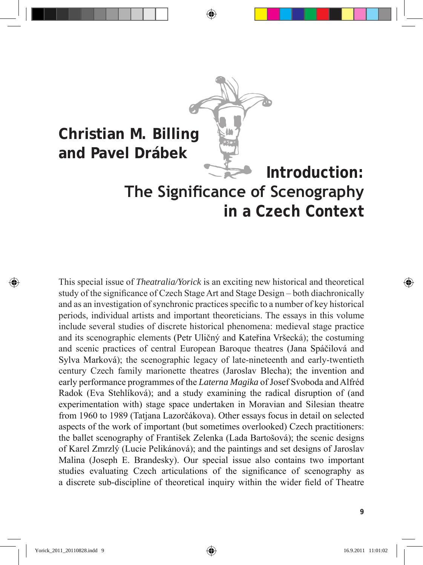# **Christian M. Billing and Pavel Drábek Introduction: The Significance of Scenography in a Czech Context**

This special issue of *Theatralia/Yorick* is an exciting new historical and theoretical study of the significance of Czech Stage Art and Stage Design – both diachronically and as an investigation of synchronic practices specific to a number of key historical periods, individual artists and important theoreticians. The essays in this volume include several studies of discrete historical phenomena: medieval stage practice and its scenographic elements (Petr Uličný and Kateřina Vršecká); the costuming and scenic practices of central European Baroque theatres (Jana Spáčilová and Sylva Marková); the scenographic legacy of late-nineteenth and early-twentieth century Czech family marionette theatres (Jaroslav Blecha); the invention and early performance programmes of the *Laterna Magika* of Josef Svoboda and Alfréd Radok (Eva Stehlíková); and a study examining the radical disruption of (and experimentation with) stage space undertaken in Moravian and Silesian theatre from 1960 to 1989 (Tatjana Lazorčákova). Other essays focus in detail on selected aspects of the work of important (but sometimes overlooked) Czech practitioners: the ballet scenography of František Zelenka (Lada Bartošová); the scenic designs of Karel Zmrzlý (Lucie Pelikánová); and the paintings and set designs of Jaroslav Malina (Joseph E. Brandesky). Our special issue also contains two important studies evaluating Czech articulations of the significance of scenography as a discrete sub‑discipline of theoretical inquiry within the wider field of Theatre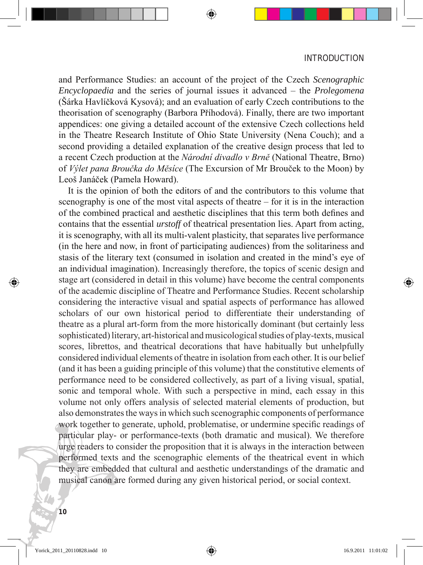and Performance Studies: an account of the project of the Czech *Scenographic Encyclopaedia* and the series of journal issues it advanced – the *Prolegomena* (Šárka Havlíčková Kysová); and an evaluation of early Czech contributions to the theorisation of scenography (Barbora Příhodová). Finally, there are two important appendices: one giving a detailed account of the extensive Czech collections held in the Theatre Research Institute of Ohio State University (Nena Couch); and a second providing a detailed explanation of the creative design process that led to a recent Czech production at the *Národní divadlo v Brně* (National Theatre, Brno) of *Výlet pana Broučka do Měsíce* (The Excursion of Mr Brouček to the Moon) by Leoš Janáček (Pamela Howard).

 It is the opinion of both the editors of and the contributors to this volume that scenography is one of the most vital aspects of theatre – for it is in the interaction of the combined practical and aesthetic disciplines that this term both defines and contains that the essential *urstoff* of theatrical presentation lies. Apart from acting, it is scenography, with all its multi-valent plasticity, that separates live performance (in the here and now, in front of participating audiences) from the solitariness and stasis of the literary text (consumed in isolation and created in the mind's eye of an individual imagination). Increasingly therefore, the topics of scenic design and stage art (considered in detail in this volume) have become the central components of the academic discipline of Theatre and Performance Studies. Recent scholarship considering the interactive visual and spatial aspects of performance has allowed scholars of our own historical period to differentiate their understanding of theatre as a plural art-form from the more historically dominant (but certainly less sophisticated) literary, art-historical and musicological studies of play-texts, musical scores, librettos, and theatrical decorations that have habitually but unhelpfully considered individual elements of theatre in isolation from each other. It is our belief (and it has been a guiding principle of this volume) that the constitutive elements of performance need to be considered collectively, as part of a living visual, spatial, sonic and temporal whole. With such a perspective in mind, each essay in this volume not only offers analysis of selected material elements of production, but also demonstrates the ways in which such scenographic components of performance work together to generate, uphold, problematise, or undermine specific readings of particular play- or performance-texts (both dramatic and musical). We therefore urge readers to consider the proposition that it is always in the interaction between performed texts and the scenographic elements of the theatrical event in which they are embedded that cultural and aesthetic understandings of the dramatic and musical canon are formed during any given historical period, or social context.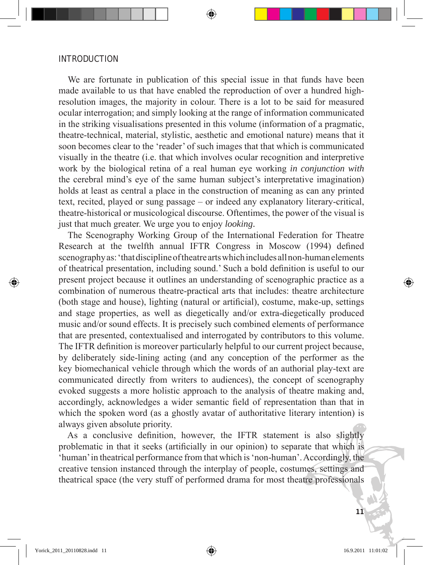We are fortunate in publication of this special issue in that funds have been made available to us that have enabled the reproduction of over a hundred highresolution images, the majority in colour. There is a lot to be said for measured ocular interrogation; and simply looking at the range of information communicated in the striking visualisations presented in this volume (information of a pragmatic, theatre-technical, material, stylistic, aesthetic and emotional nature) means that it soon becomes clear to the 'reader' of such images that that which is communicated visually in the theatre (i.e. that which involves ocular recognition and interpretive work by the biological retina of a real human eye working *in conjunction with* the cerebral mind's eye of the same human subject's interpretative imagination) holds at least as central a place in the construction of meaning as can any printed text, recited, played or sung passage – or indeed any explanatory literary-critical, theatre-historical or musicological discourse. Oftentimes, the power of the visual is just that much greater. We urge you to enjoy *looking*.

 The Scenography Working Group of the International Federation for Theatre Research at the twelfth annual IFTR Congress in Moscow (1994) defined scenography as: 'that discipline of theatre arts which includes all non-human elements of theatrical presentation, including sound.' Such a bold definition is useful to our present project because it outlines an understanding of scenographic practice as a combination of numerous theatre-practical arts that includes: theatre architecture (both stage and house), lighting (natural or artificial), costume, make-up, settings and stage properties, as well as diegetically and/or extra-diegetically produced music and/or sound effects. It is precisely such combined elements of performance that are presented, contextualised and interrogated by contributors to this volume. The IFTR definition is moreover particularly helpful to our current project because, by deliberately side-lining acting (and any conception of the performer as the key biomechanical vehicle through which the words of an authorial play-text are communicated directly from writers to audiences), the concept of scenography evoked suggests a more holistic approach to the analysis of theatre making and, accordingly, acknowledges a wider semantic field of representation than that in which the spoken word (as a ghostly avatar of authoritative literary intention) is always given absolute priority.

 As a conclusive definition, however, the IFTR statement is also slightly problematic in that it seeks (artificially in our opinion) to separate that which is 'human' in theatrical performance from that which is 'non-human'. Accordingly, the creative tension instanced through the interplay of people, costumes, settings and theatrical space (the very stuff of performed drama for most theatre professionals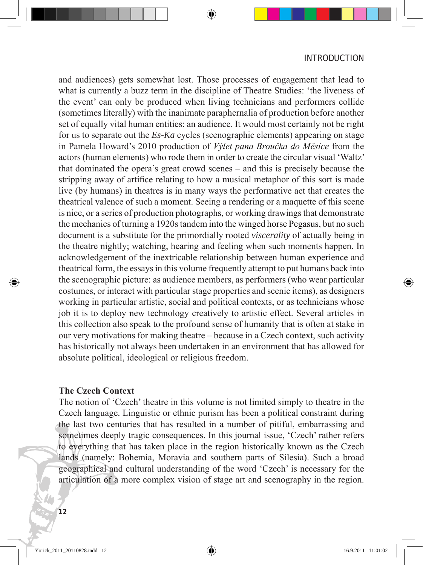and audiences) gets somewhat lost. Those processes of engagement that lead to what is currently a buzz term in the discipline of Theatre Studies: 'the liveness of the event' can only be produced when living technicians and performers collide (sometimes literally) with the inanimate paraphernalia of production before another set of equally vital human entities: an audience. It would most certainly not be right for us to separate out the *Es-Ka* cycles (scenographic elements) appearing on stage in Pamela Howard's 2010 production of *Výlet pana Broučka do Měsíce* from the actors (human elements) who rode them in order to create the circular visual 'Waltz' that dominated the opera's great crowd scenes – and this is precisely because the stripping away of artifice relating to how a musical metaphor of this sort is made live (by humans) in theatres is in many ways the performative act that creates the theatrical valence of such a moment. Seeing a rendering or a maquette of this scene is nice, or a series of production photographs, or working drawings that demonstrate the mechanics of turning a 1920s tandem into the winged horse Pegasus, but no such document is a substitute for the primordially rooted *viscerality* of actually being in the theatre nightly; watching, hearing and feeling when such moments happen. In acknowledgement of the inextricable relationship between human experience and theatrical form, the essays in this volume frequently attempt to put humans back into the scenographic picture: as audience members, as performers (who wear particular costumes, or interact with particular stage properties and scenic items), as designers working in particular artistic, social and political contexts, or as technicians whose job it is to deploy new technology creatively to artistic effect. Several articles in this collection also speak to the profound sense of humanity that is often at stake in our very motivations for making theatre – because in a Czech context, such activity has historically not always been undertaken in an environment that has allowed for absolute political, ideological or religious freedom.

## **The Czech Context**

The notion of 'Czech' theatre in this volume is not limited simply to theatre in the Czech language. Linguistic or ethnic purism has been a political constraint during the last two centuries that has resulted in a number of pitiful, embarrassing and sometimes deeply tragic consequences. In this journal issue, 'Czech' rather refers to everything that has taken place in the region historically known as the Czech lands (namely: Bohemia, Moravia and southern parts of Silesia). Such a broad geographical and cultural understanding of the word 'Czech' is necessary for the articulation of a more complex vision of stage art and scenography in the region.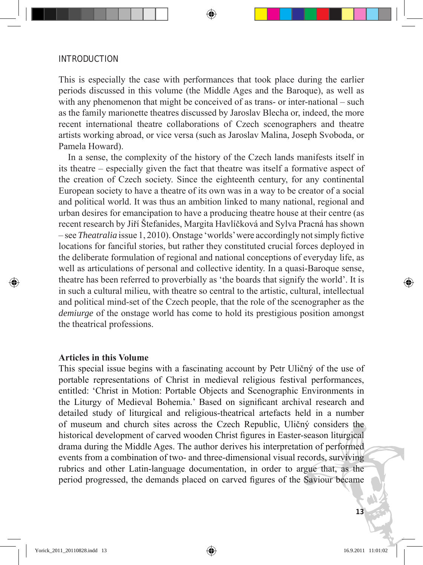This is especially the case with performances that took place during the earlier periods discussed in this volume (the Middle Ages and the Baroque), as well as with any phenomenon that might be conceived of as trans- or inter-national – such as the family marionette theatres discussed by Jaroslav Blecha or, indeed, the more recent international theatre collaborations of Czech scenographers and theatre artists working abroad, or vice versa (such as Jaroslav Malina, Joseph Svoboda, or Pamela Howard).

 In a sense, the complexity of the history of the Czech lands manifests itself in its theatre – especially given the fact that theatre was itself a formative aspect of the creation of Czech society. Since the eighteenth century, for any continental European society to have a theatre of its own was in a way to be creator of a social and political world. It was thus an ambition linked to many national, regional and urban desires for emancipation to have a producing theatre house at their centre (as recent research by Jiří Štefanides, Margita Havlíčková and Sylva Pracná has shown – see *Theatralia* issue 1, 2010). Onstage 'worlds' were accordingly not simply fictive locations for fanciful stories, but rather they constituted crucial forces deployed in the deliberate formulation of regional and national conceptions of everyday life, as well as articulations of personal and collective identity. In a quasi-Baroque sense, theatre has been referred to proverbially as 'the boards that signify the world'. It is in such a cultural milieu, with theatre so central to the artistic, cultural, intellectual and political mind-set of the Czech people, that the role of the scenographer as the *demiurge* of the onstage world has come to hold its prestigious position amongst the theatrical professions.

## **Articles in this Volume**

This special issue begins with a fascinating account by Petr Uličný of the use of portable representations of Christ in medieval religious festival performances, entitled: 'Christ in Motion: Portable Objects and Scenographic Environments in the Liturgy of Medieval Bohemia.' Based on significant archival research and detailed study of liturgical and religious-theatrical artefacts held in a number of museum and church sites across the Czech Republic, Uličný considers the historical development of carved wooden Christ figures in Easter-season liturgical drama during the Middle Ages. The author derives his interpretation of performed events from a combination of two- and three-dimensional visual records, surviving rubrics and other Latin-language documentation, in order to argue that, as the period progressed, the demands placed on carved figures of the Saviour became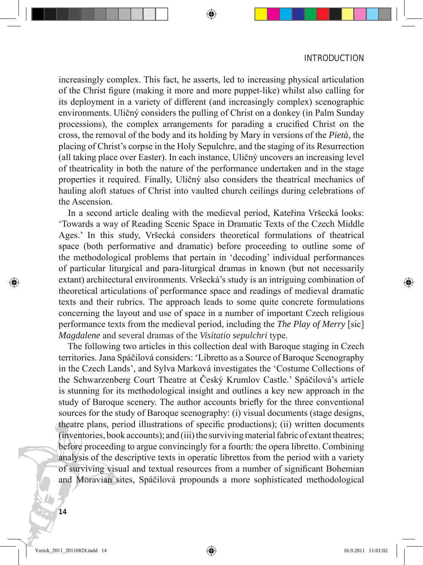increasingly complex. This fact, he asserts, led to increasing physical articulation of the Christ figure (making it more and more puppet-like) whilst also calling for its deployment in a variety of different (and increasingly complex) scenographic environments. Uličný considers the pulling of Christ on a donkey (in Palm Sunday processions), the complex arrangements for parading a crucified Christ on the cross, the removal of the body and its holding by Mary in versions of the *Pietà*, the placing of Christ's corpse in the Holy Sepulchre, and the staging of its Resurrection (all taking place over Easter). In each instance, Uličný uncovers an increasing level of theatricality in both the nature of the performance undertaken and in the stage properties it required. Finally, Uličný also considers the theatrical mechanics of hauling aloft statues of Christ into vaulted church ceilings during celebrations of the Ascension.

 In a second article dealing with the medieval period, Kateřina Vršecká looks: 'Towards a way of Reading Scenic Space in Dramatic Texts of the Czech Middle Ages.' In this study, Vršecká considers theoretical formulations of theatrical space (both performative and dramatic) before proceeding to outline some of the methodological problems that pertain in 'decoding' individual performances of particular liturgical and para-liturgical dramas in known (but not necessarily extant) architectural environments. Vršecká's study is an intriguing combination of theoretical articulations of performance space and readings of medieval dramatic texts and their rubrics. The approach leads to some quite concrete formulations concerning the layout and use of space in a number of important Czech religious performance texts from the medieval period, including the *The Play of Merry* [sic] *Magdalene* and several dramas of the *Visitatio sepulchri* type.

 The following two articles in this collection deal with Baroque staging in Czech territories. Jana Spáčilová considers: 'Libretto as a Source of Baroque Scenography in the Czech Lands', and Sylva Marková investigates the 'Costume Collections of the Schwarzenberg Court Theatre at Český Krumlov Castle.' Spáčilová's article is stunning for its methodological insight and outlines a key new approach in the study of Baroque scenery. The author accounts briefly for the three conventional sources for the study of Baroque scenography: (i) visual documents (stage designs, theatre plans, period illustrations of specific productions); (ii) written documents (inventories, book accounts); and (iii) the surviving material fabric of extant theatres; before proceeding to argue convincingly for a fourth: the opera libretto. Combining analysis of the descriptive texts in operatic librettos from the period with a variety of surviving visual and textual resources from a number of significant Bohemian and Moravian sites, Spáčilová propounds a more sophisticated methodological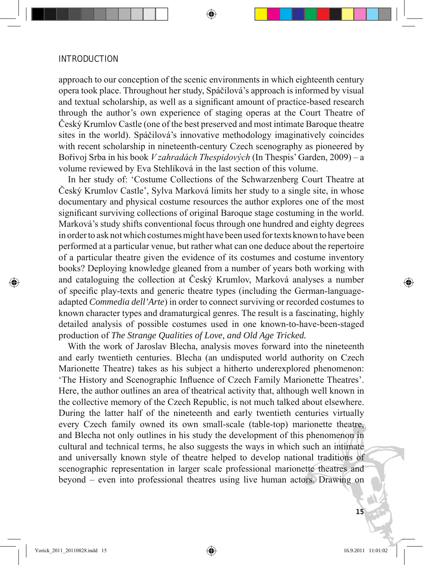approach to our conception of the scenic environments in which eighteenth century opera took place. Throughout her study, Spáčilová's approach is informed by visual and textual scholarship, as well as a significant amount of practice-based research through the author's own experience of staging operas at the Court Theatre of Český Krumlov Castle (one of the best preserved and most intimate Baroque theatre sites in the world). Spáčilová's innovative methodology imaginatively coincides with recent scholarship in nineteenth-century Czech scenography as pioneered by Bořivoj Srba in his book *V zahradách Thespidových* (In Thespis' Garden, 2009) – a volume reviewed by Eva Stehlíková in the last section of this volume.

 In her study of: 'Costume Collections of the Schwarzenberg Court Theatre at Český Krumlov Castle', Sylva Marková limits her study to a single site, in whose documentary and physical costume resources the author explores one of the most significant surviving collections of original Baroque stage costuming in the world. Marková's study shifts conventional focus through one hundred and eighty degrees in order to ask not which costumes might have been used for texts known to have been performed at a particular venue, but rather what can one deduce about the repertoire of a particular theatre given the evidence of its costumes and costume inventory books? Deploying knowledge gleaned from a number of years both working with and cataloguing the collection at Český Krumlov, Marková analyses a number of specific play-texts and generic theatre types (including the German-languageadapted *Commedia dell'Arte*) in order to connect surviving or recorded costumes to known character types and dramaturgical genres. The result is a fascinating, highly detailed analysis of possible costumes used in one known-to-have-been-staged production of *The Strange Qualities of Love, and Old Age Tricked.*

 With the work of Jaroslav Blecha, analysis moves forward into the nineteenth and early twentieth centuries. Blecha (an undisputed world authority on Czech Marionette Theatre) takes as his subject a hitherto underexplored phenomenon: 'The History and Scenographic Influence of Czech Family Marionette Theatres'. Here, the author outlines an area of theatrical activity that, although well known in the collective memory of the Czech Republic, is not much talked about elsewhere. During the latter half of the nineteenth and early twentieth centuries virtually every Czech family owned its own small-scale (table-top) marionette theatre, and Blecha not only outlines in his study the development of this phenomenon in cultural and technical terms, he also suggests the ways in which such an intimate and universally known style of theatre helped to develop national traditions of scenographic representation in larger scale professional marionette theatres and beyond – even into professional theatres using live human actors. Drawing on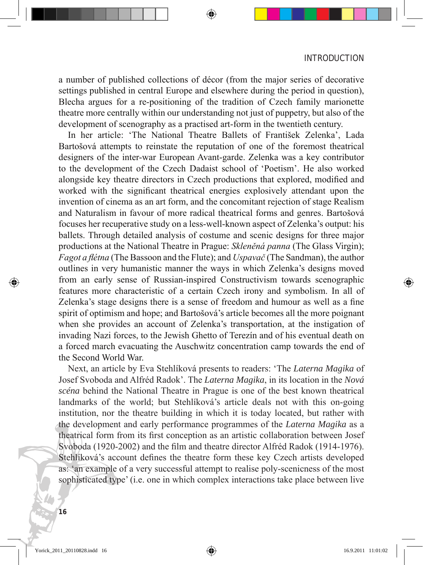a number of published collections of décor (from the major series of decorative settings published in central Europe and elsewhere during the period in question), Blecha argues for a re-positioning of the tradition of Czech family marionette theatre more centrally within our understanding not just of puppetry, but also of the development of scenography as a practised art-form in the twentieth century.

 In her article: 'The National Theatre Ballets of František Zelenka', Lada Bartošová attempts to reinstate the reputation of one of the foremost theatrical designers of the inter-war European Avant-garde. Zelenka was a key contributor to the development of the Czech Dadaist school of 'Poetism'. He also worked alongside key theatre directors in Czech productions that explored, modified and worked with the significant theatrical energies explosively attendant upon the invention of cinema as an art form, and the concomitant rejection of stage Realism and Naturalism in favour of more radical theatrical forms and genres. Bartošová focuses her recuperative study on a less-well-known aspect of Zelenka's output: his ballets. Through detailed analysis of costume and scenic designs for three major productions at the National Theatre in Prague: *Skleněná panna* (The Glass Virgin); *Fagot a flétna* (The Bassoon and the Flute); and *Uspavač* (The Sandman), the author outlines in very humanistic manner the ways in which Zelenka's designs moved from an early sense of Russian-inspired Constructivism towards scenographic features more characteristic of a certain Czech irony and symbolism. In all of Zelenka's stage designs there is a sense of freedom and humour as well as a fine spirit of optimism and hope; and Bartošová's article becomes all the more poignant when she provides an account of Zelenka's transportation, at the instigation of invading Nazi forces, to the Jewish Ghetto of Terezín and of his eventual death on a forced march evacuating the Auschwitz concentration camp towards the end of the Second World War.

 Next, an article by Eva Stehlíková presents to readers: 'The *Laterna Magika* of Josef Svoboda and Alfréd Radok'. The *Laterna Magika*, in its location in the *Nová scéna* behind the National Theatre in Prague is one of the best known theatrical landmarks of the world; but Stehlíková's article deals not with this on-going institution, nor the theatre building in which it is today located, but rather with the development and early performance programmes of the *Laterna Magika* as a theatrical form from its first conception as an artistic collaboration between Josef Svoboda (1920-2002) and the film and theatre director Alfréd Radok (1914-1976). Stehlíková's account defines the theatre form these key Czech artists developed as: 'an example of a very successful attempt to realise poly-scenicness of the most sophisticated type' (i.e. one in which complex interactions take place between live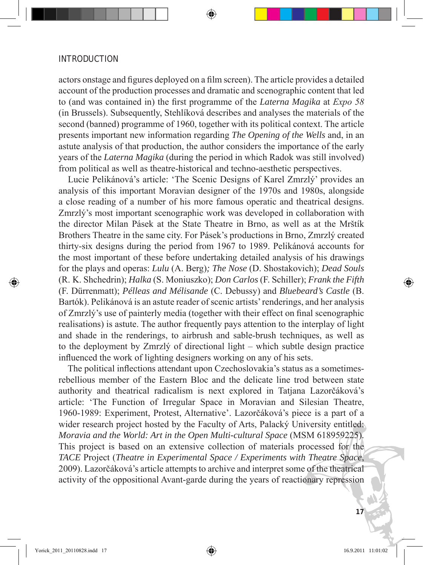actors onstage and figures deployed on a film screen). The article provides a detailed account of the production processes and dramatic and scenographic content that led to (and was contained in) the first programme of the *Laterna Magika* at *Expo 58*  (in Brussels). Subsequently, Stehlíková describes and analyses the materials of the second (banned) programme of 1960, together with its political context. The article presents important new information regarding *The Opening of the Wells* and, in an astute analysis of that production, the author considers the importance of the early years of the *Laterna Magika* (during the period in which Radok was still involved) from political as well as theatre-historical and techno-aesthetic perspectives.

 Lucie Pelikánová's article: 'The Scenic Designs of Karel Zmrzlý' provides an analysis of this important Moravian designer of the 1970s and 1980s, alongside a close reading of a number of his more famous operatic and theatrical designs. Zmrzlý's most important scenographic work was developed in collaboration with the director Milan Pásek at the State Theatre in Brno, as well as at the Mrštík Brothers Theatre in the same city. For Pásek's productions in Brno, Zmrzlý created thirty-six designs during the period from 1967 to 1989. Pelikánová accounts for the most important of these before undertaking detailed analysis of his drawings for the plays and operas: *Lulu* (A. Berg)*; The Nose* (D. Shostakovich); *Dead Souls*  (R. K. Shchedrin); *Halka* (S. Moniuszko); *Don Carlos* (F. Schiller); *Frank the Fifth* (F. Dürrenmatt); *Pélleas and Mélisande* (C. Debussy) and *Bluebeard's Castle* (B. Bartók). Pelikánová is an astute reader of scenic artists' renderings, and her analysis of Zmrzlý's use of painterly media (together with their effect on final scenographic realisations) is astute. The author frequently pays attention to the interplay of light and shade in the renderings, to airbrush and sable-brush techniques, as well as to the deployment by Zmrzlý of directional light – which subtle design practice influenced the work of lighting designers working on any of his sets.

 The political inflections attendant upon Czechoslovakia's status as a sometimesrebellious member of the Eastern Bloc and the delicate line trod between state authority and theatrical radicalism is next explored in Tatjana Lazorčáková's article: 'The Function of Irregular Space in Moravian and Silesian Theatre, 1960-1989: Experiment, Protest, Alternative'. Lazorčáková's piece is a part of a wider research project hosted by the Faculty of Arts, Palacký University entitled: *Moravia and the World: Art in the Open Multi-cultural Space (MSM 618959225).* This project is based on an extensive collection of materials processed for the *TACE* Project (*Theatre in Experimental Space / Experiments with Theatre Space*, 2009). Lazorčáková's article attempts to archive and interpret some of the theatrical activity of the oppositional Avant-garde during the years of reactionary repression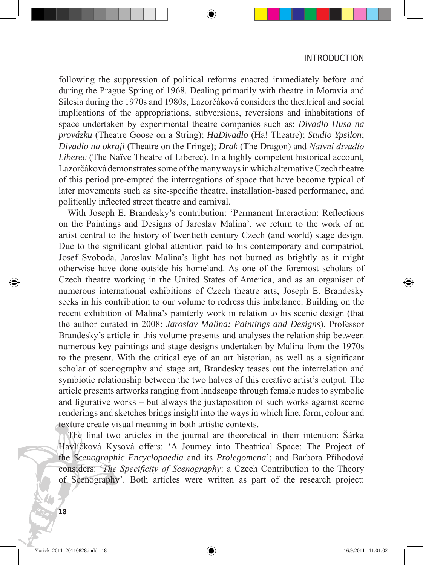following the suppression of political reforms enacted immediately before and during the Prague Spring of 1968. Dealing primarily with theatre in Moravia and Silesia during the 1970s and 1980s, Lazorčáková considers the theatrical and social implications of the appropriations, subversions, reversions and inhabitations of space undertaken by experimental theatre companies such as: *Divadlo Husa na provázku* (Theatre Goose on a String); *HaDivadlo* (Ha! Theatre); *Studio Ypsilon*; *Divadlo na okraji* (Theatre on the Fringe); *Drak* (The Dragon) and *Naivní divadlo Liberec* (The Naïve Theatre of Liberec). In a highly competent historical account, Lazorčáková demonstrates some of the many ways in which alternative Czech theatre of this period pre-empted the interrogations of space that have become typical of later movements such as site-specific theatre, installation-based performance, and politically inflected street theatre and carnival.

 With Joseph E. Brandesky's contribution: 'Permanent Interaction: Reflections on the Paintings and Designs of Jaroslav Malina', we return to the work of an artist central to the history of twentieth century Czech (and world) stage design. Due to the significant global attention paid to his contemporary and compatriot, Josef Svoboda, Jaroslav Malina's light has not burned as brightly as it might otherwise have done outside his homeland. As one of the foremost scholars of Czech theatre working in the United States of America, and as an organiser of numerous international exhibitions of Czech theatre arts, Joseph E. Brandesky seeks in his contribution to our volume to redress this imbalance. Building on the recent exhibition of Malina's painterly work in relation to his scenic design (that the author curated in 2008: *Jaroslav Malina: Paintings and Designs*), Professor Brandesky's article in this volume presents and analyses the relationship between numerous key paintings and stage designs undertaken by Malina from the 1970s to the present. With the critical eye of an art historian, as well as a significant scholar of scenography and stage art, Brandesky teases out the interrelation and symbiotic relationship between the two halves of this creative artist's output. The article presents artworks ranging from landscape through female nudes to symbolic and figurative works – but always the juxtaposition of such works against scenic renderings and sketches brings insight into the ways in which line, form, colour and texture create visual meaning in both artistic contexts.

 The final two articles in the journal are theoretical in their intention: Šárka Havlíčková Kysová offers: 'A Journey into Theatrical Space: The Project of the *Scenographic Encyclopaedia* and its *Prolegomena*'; and Barbora Příhodová considers: '*The Specificity of Scenography*: a Czech Contribution to the Theory of Scenography'. Both articles were written as part of the research project: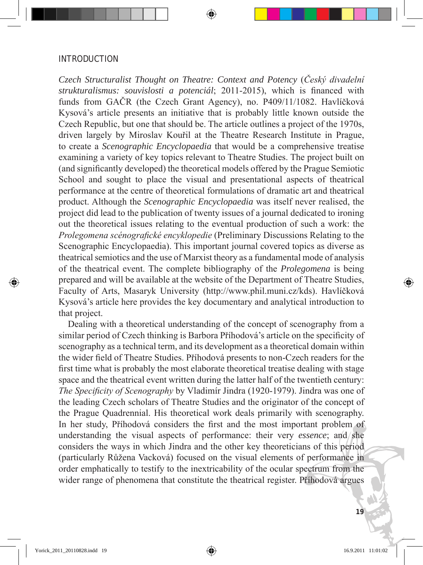*Czech Structuralist Thought on Theatre: Context and Potency* (*Český divadelní strukturalismus: souvislosti a potenciál*; 2011-2015), which is financed with funds from GAČR (the Czech Grant Agency), no. P409/11/1082. Havlíčková Kysová's article presents an initiative that is probably little known outside the Czech Republic, but one that should be. The article outlines a project of the 1970s, driven largely by Miroslav Kouřil at the Theatre Research Institute in Prague, to create a *Scenographic Encyclopaedia* that would be a comprehensive treatise examining a variety of key topics relevant to Theatre Studies. The project built on (and significantly developed) the theoretical models offered by the Prague Semiotic School and sought to place the visual and presentational aspects of theatrical performance at the centre of theoretical formulations of dramatic art and theatrical product. Although the *Scenographic Encyclopaedia* was itself never realised, the project did lead to the publication of twenty issues of a journal dedicated to ironing out the theoretical issues relating to the eventual production of such a work: the *Prolegomena scénografické encyklopedie* (Preliminary Discussions Relating to the Scenographic Encyclopaedia). This important journal covered topics as diverse as theatrical semiotics and the use of Marxist theory as a fundamental mode of analysis of the theatrical event. The complete bibliography of the *Prolegomena* is being prepared and will be available at the website of the Department of Theatre Studies, Faculty of Arts, Masaryk University (http://www.phil.muni.cz/kds). Havlíčková Kysová's article here provides the key documentary and analytical introduction to that project.

 Dealing with a theoretical understanding of the concept of scenography from a similar period of Czech thinking is Barbora Příhodová's article on the specificity of scenography as a technical term, and its development as a theoretical domain within the wider field of Theatre Studies. Příhodová presents to non-Czech readers for the first time what is probably the most elaborate theoretical treatise dealing with stage space and the theatrical event written during the latter half of the twentieth century: *The Specificity of Scenography* by Vladimír Jindra (1920-1979). Jindra was one of the leading Czech scholars of Theatre Studies and the originator of the concept of the Prague Quadrennial. His theoretical work deals primarily with scenography. In her study, Příhodová considers the first and the most important problem of understanding the visual aspects of performance: their very *essence*; and she considers the ways in which Jindra and the other key theoreticians of this period (particularly Růžena Vacková) focused on the visual elements of performance in order emphatically to testify to the inextricability of the ocular spectrum from the wider range of phenomena that constitute the theatrical register. Příhodová argues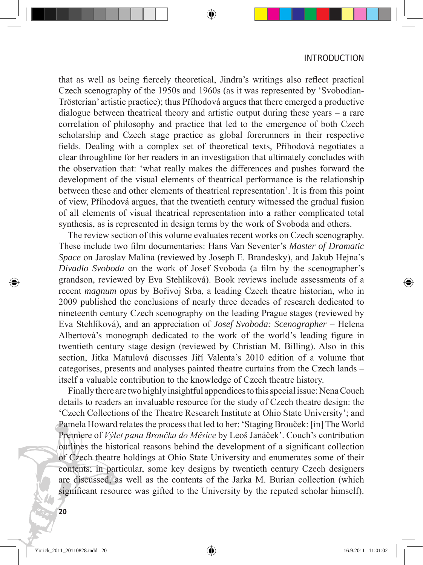that as well as being fiercely theoretical, Jindra's writings also reflect practical Czech scenography of the 1950s and 1960s (as it was represented by 'Svobodian-Trösterian' artistic practice); thus Příhodová argues that there emerged a productive dialogue between theatrical theory and artistic output during these years – a rare correlation of philosophy and practice that led to the emergence of both Czech scholarship and Czech stage practice as global forerunners in their respective fields. Dealing with a complex set of theoretical texts, Příhodová negotiates a clear throughline for her readers in an investigation that ultimately concludes with the observation that: 'what really makes the differences and pushes forward the development of the visual elements of theatrical performance is the relationship between these and other elements of theatrical representation'. It is from this point of view, Příhodová argues, that the twentieth century witnessed the gradual fusion of all elements of visual theatrical representation into a rather complicated total synthesis, as is represented in design terms by the work of Svoboda and others.

 The review section of this volume evaluates recent works on Czech scenography. These include two film documentaries: Hans Van Seventer's *Master of Dramatic Space* on Jaroslav Malina (reviewed by Joseph E. Brandesky), and Jakub Hejna's *Divadlo Svoboda* on the work of Josef Svoboda (a film by the scenographer's grandson, reviewed by Eva Stehlíková). Book reviews include assessments of a recent *magnum opus* by Bořivoj Srba, a leading Czech theatre historian, who in 2009 published the conclusions of nearly three decades of research dedicated to nineteenth century Czech scenography on the leading Prague stages (reviewed by Eva Stehlíková), and an appreciation of *Josef Svoboda: Scenographer* – Helena Albertová's monograph dedicated to the work of the world's leading figure in twentieth century stage design (reviewed by Christian M. Billing). Also in this section, Jitka Matulová discusses Jiří Valenta's 2010 edition of a volume that categorises, presents and analyses painted theatre curtains from the Czech lands – itself a valuable contribution to the knowledge of Czech theatre history.

 Finally there are two highly insightful appendices to this special issue: Nena Couch details to readers an invaluable resource for the study of Czech theatre design: the 'Czech Collections of the Theatre Research Institute at Ohio State University'; and Pamela Howard relates the process that led to her: 'Staging Brouček: [in] The World Premiere of *Výlet pana Broučka do Měsíce* by Leoš Janáček'. Couch's contribution outlines the historical reasons behind the development of a significant collection of Czech theatre holdings at Ohio State University and enumerates some of their contents; in particular, some key designs by twentieth century Czech designers are discussed, as well as the contents of the Jarka M. Burian collection (which significant resource was gifted to the University by the reputed scholar himself).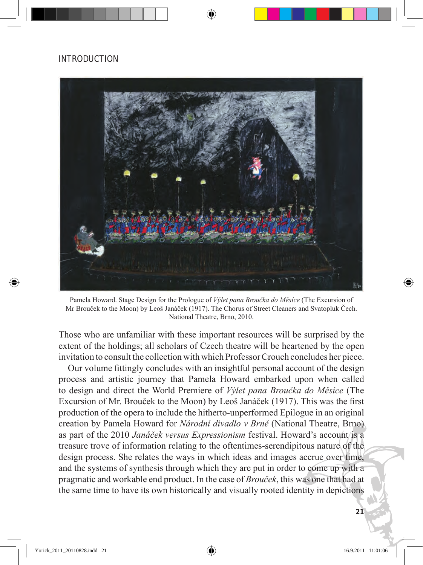

Pamela Howard. Stage Design for the Prologue of *Výlet pana Broučka do Měsíce* (The Excursion of Mr Brouček to the Moon) by Leoš Janáček (1917). The Chorus of Street Cleaners and Svatopluk Čech. National Theatre, Brno, 2010.

Those who are unfamiliar with these important resources will be surprised by the extent of the holdings; all scholars of Czech theatre will be heartened by the open invitation to consult the collection with which Professor Crouch concludes her piece.

 Our volume fittingly concludes with an insightful personal account of the design process and artistic journey that Pamela Howard embarked upon when called to design and direct the World Premiere of *Výlet pana Broučka do Měsíce* (The Excursion of Mr. Brouček to the Moon) by Leoš Janáček (1917). This was the first production of the opera to include the hitherto-unperformed Epilogue in an original creation by Pamela Howard for *Národní divadlo v Brně* (National Theatre, Brno) as part of the 2010 *Janáček versus Expressionism* festival. Howard's account is a treasure trove of information relating to the oftentimes-serendipitous nature of the design process. She relates the ways in which ideas and images accrue over time, and the systems of synthesis through which they are put in order to come up with a pragmatic and workable end product. In the case of *Brouček*, this was one that had at the same time to have its own historically and visually rooted identity in depictions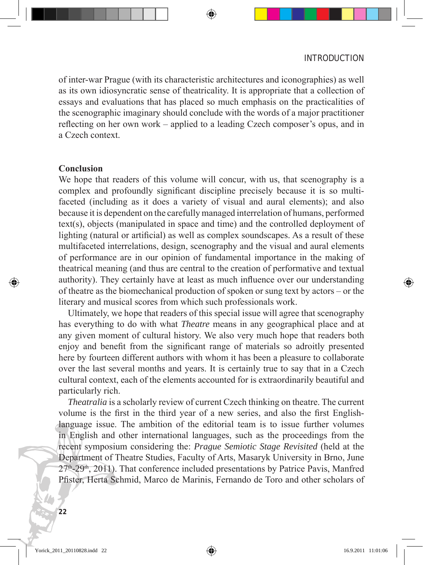of inter-war Prague (with its characteristic architectures and iconographies) as well as its own idiosyncratic sense of theatricality. It is appropriate that a collection of essays and evaluations that has placed so much emphasis on the practicalities of the scenographic imaginary should conclude with the words of a major practitioner reflecting on her own work – applied to a leading Czech composer's opus, and in a Czech context.

#### **Conclusion**

We hope that readers of this volume will concur, with us, that scenography is a complex and profoundly significant discipline precisely because it is so multifaceted (including as it does a variety of visual and aural elements); and also because it is dependent on the carefully managed interrelation of humans, performed text(s), objects (manipulated in space and time) and the controlled deployment of lighting (natural or artificial) as well as complex soundscapes. As a result of these multifaceted interrelations, design, scenography and the visual and aural elements of performance are in our opinion of fundamental importance in the making of theatrical meaning (and thus are central to the creation of performative and textual authority). They certainly have at least as much influence over our understanding of theatre as the biomechanical production of spoken or sung text by actors – or the literary and musical scores from which such professionals work.

 Ultimately, we hope that readers of this special issue will agree that scenography has everything to do with what *Theatre* means in any geographical place and at any given moment of cultural history. We also very much hope that readers both enjoy and benefit from the significant range of materials so adroitly presented here by fourteen different authors with whom it has been a pleasure to collaborate over the last several months and years. It is certainly true to say that in a Czech cultural context, each of the elements accounted for is extraordinarily beautiful and particularly rich.

*Theatralia* is a scholarly review of current Czech thinking on theatre. The current volume is the first in the third year of a new series, and also the first Englishlanguage issue. The ambition of the editorial team is to issue further volumes in English and other international languages, such as the proceedings from the recent symposium considering the: *Prague Semiotic Stage Revisited* (held at the Department of Theatre Studies, Faculty of Arts, Masaryk University in Brno, June  $27<sup>th</sup>$ - $29<sup>th</sup>$ , 2011). That conference included presentations by Patrice Pavis, Manfred Pfister, Herta Schmid, Marco de Marinis, Fernando de Toro and other scholars of